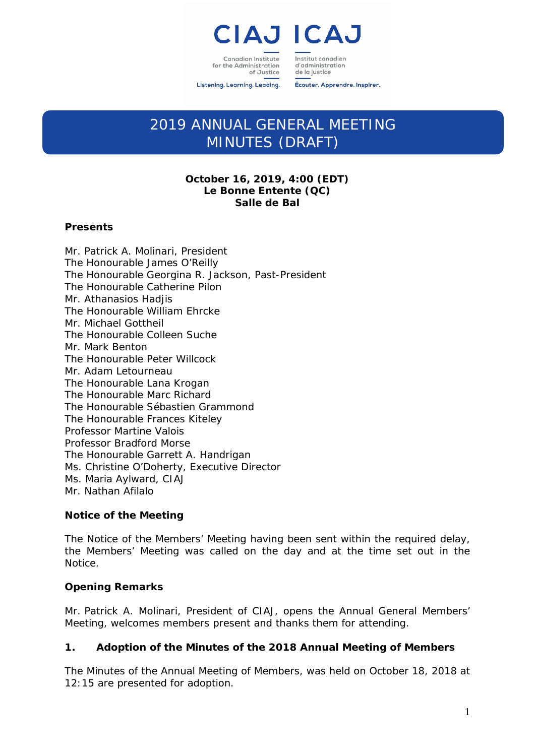

Institut canadien Canadian Institute for the Administration of Justice

d'administration de la justice

Listening. Learning. Leading.

Écouter. Apprendre. Inspirer.

# 2019 ANNUAL GENERAL MEETING MINUTES (DRAFT)

# **October 16, 2019, 4:00 (EDT) Le Bonne Entente (QC) Salle de Bal**

## **Presents**

Mr. Patrick A. Molinari, President The Honourable James O'Reilly The Honourable Georgina R. Jackson, Past-President The Honourable Catherine Pilon Mr. Athanasios Hadjis The Honourable William Ehrcke Mr. Michael Gottheil The Honourable Colleen Suche Mr. Mark Benton The Honourable Peter Willcock Mr. Adam Letourneau The Honourable Lana Krogan The Honourable Marc Richard The Honourable Sébastien Grammond The Honourable Frances Kiteley Professor Martine Valois Professor Bradford Morse The Honourable Garrett A. Handrigan Ms. Christine O'Doherty, Executive Director Ms. Maria Aylward, CIAJ Mr. Nathan Afilalo

# **Notice of the Meeting**

The Notice of the Members' Meeting having been sent within the required delay, the Members' Meeting was called on the day and at the time set out in the Notice.

# **Opening Remarks**

Mr. Patrick A. Molinari, President of CIAJ, opens the Annual General Members' Meeting, welcomes members present and thanks them for attending.

# **1. Adoption of the Minutes of the 2018 Annual Meeting of Members**

The Minutes of the Annual Meeting of Members, was held on October 18, 2018 at 12:15 are presented for adoption.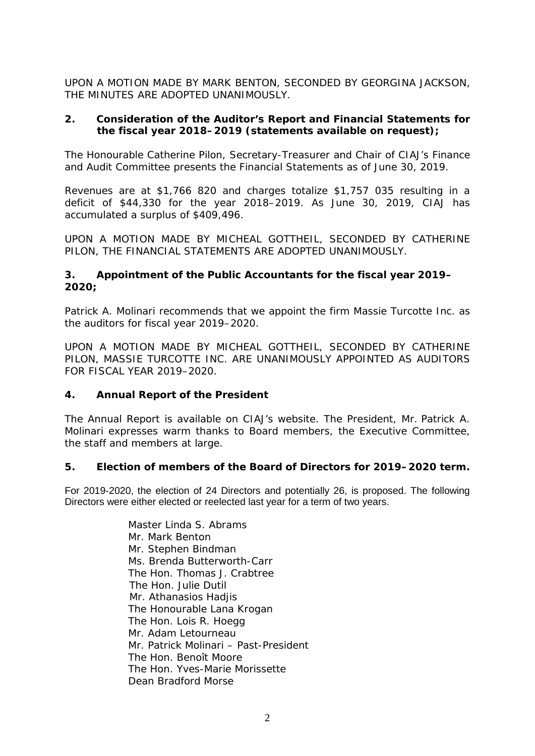UPON A MOTION MADE BY MARK BENTON, SECONDED BY GEORGINA JACKSON, THE MINUTES ARE ADOPTED UNANIMOUSLY.

## **2. Consideration of the Auditor's Report and Financial Statements for the fiscal year 2018–2019 (statements available on request);**

The Honourable Catherine Pilon, Secretary-Treasurer and Chair of CIAJ's Finance and Audit Committee presents the Financial Statements as of June 30, 2019.

Revenues are at \$1,766 820 and charges totalize \$1,757 035 resulting in a deficit of \$44,330 for the year 2018–2019. As June 30, 2019, CIAJ has accumulated a surplus of \$409,496.

UPON A MOTION MADE BY MICHEAL GOTTHEIL, SECONDED BY CATHERINE PILON, THE FINANCIAL STATEMENTS ARE ADOPTED UNANIMOUSLY.

## **3. Appointment of the Public Accountants for the fiscal year 2019– 2020;**

Patrick A. Molinari recommends that we appoint the firm Massie Turcotte Inc. as the auditors for fiscal year 2019–2020.

UPON A MOTION MADE BY MICHEAL GOTTHEIL, SECONDED BY CATHERINE PILON, MASSIE TURCOTTE INC. ARE UNANIMOUSLY APPOINTED AS AUDITORS FOR FISCAL YEAR 2019–2020.

## **4. Annual Report of the President**

The Annual Report is available on CIAJ's website. The President, Mr. Patrick A. Molinari expresses warm thanks to Board members, the Executive Committee, the staff and members at large.

## **5. Election of members of the Board of Directors for 2019–2020 term.**

For 2019-2020, the election of 24 Directors and potentially 26, is proposed. The following Directors were either elected or reelected last year for a term of two years.

> Master Linda S. Abrams Mr. Mark Benton Mr. Stephen Bindman Ms. Brenda Butterworth-Carr The Hon. Thomas J. Crabtree The Hon. Julie Dutil Mr. Athanasios Hadjis The Honourable Lana Krogan The Hon. Lois R. Hoegg Mr. Adam Letourneau Mr. Patrick Molinari – Past-President The Hon. Benoît Moore The Hon. Yves-Marie Morissette Dean Bradford Morse